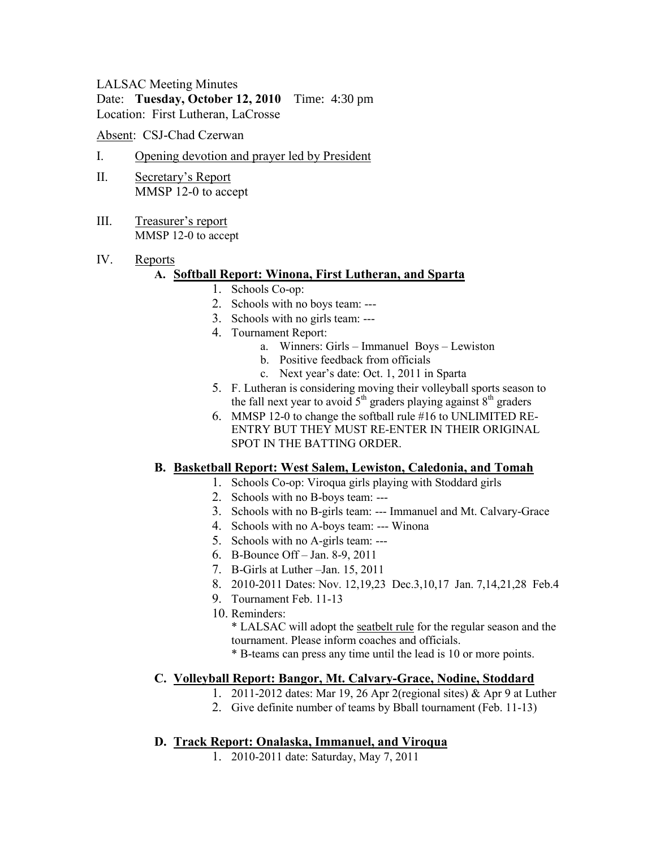## LALSAC Meeting Minutes Date: **Tuesday, October 12, 2010** Time: 4:30 pm Location: First Lutheran, LaCrosse

Absent: CSJ-Chad Czerwan

- I. Opening devotion and prayer led by President
- II. Secretary's Report MMSP 12-0 to accept
- III. Treasurer's report MMSP 12-0 to accept
- IV. Reports

### **A. Softball Report: Winona, First Lutheran, and Sparta**

- 1. Schools Co-op:
- 2. Schools with no boys team: ---
- 3. Schools with no girls team: ---
- 4. Tournament Report:
	- a. Winners: Girls Immanuel Boys Lewiston
	- b. Positive feedback from officials
	- c. Next year's date: Oct. 1, 2011 in Sparta
- 5. F. Lutheran is considering moving their volleyball sports season to the fall next year to avoid  $5<sup>th</sup>$  graders playing against  $8<sup>th</sup>$  graders
- 6. MMSP 12-0 to change the softball rule #16 to UNLIMITED RE-ENTRY BUT THEY MUST RE-ENTER IN THEIR ORIGINAL SPOT IN THE BATTING ORDER.

### **B. Basketball Report: West Salem, Lewiston, Caledonia, and Tomah**

- 1. Schools Co-op: Viroqua girls playing with Stoddard girls
- 2. Schools with no B-boys team: ---
- 3. Schools with no B-girls team: --- Immanuel and Mt. Calvary-Grace
- 4. Schools with no A-boys team: --- Winona
- 5. Schools with no A-girls team: ---
- 6. B-Bounce Off Jan. 8-9, 2011
- 7. B-Girls at Luther –Jan. 15, 2011
- 8. 2010-2011 Dates: Nov. 12,19,23 Dec.3,10,17 Jan. 7,14,21,28 Feb.4
- 9. Tournament Feb. 11-13
- 10. Reminders:

\* LALSAC will adopt the seatbelt rule for the regular season and the tournament. Please inform coaches and officials. \* B-teams can press any time until the lead is 10 or more points.

### **C. Volleyball Report: Bangor, Mt. Calvary-Grace, Nodine, Stoddard**

- 1. 2011-2012 dates: Mar 19, 26 Apr 2(regional sites) & Apr 9 at Luther
- 2. Give definite number of teams by Bball tournament (Feb. 11-13)

### **D. Track Report: Onalaska, Immanuel, and Viroqua**

1. 2010-2011 date: Saturday, May 7, 2011